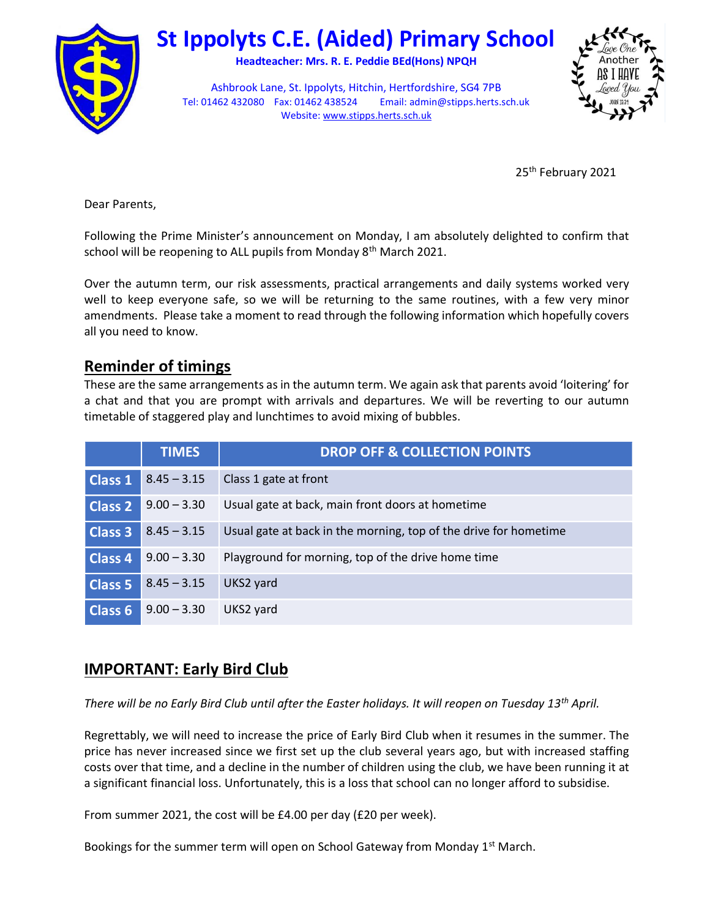

# St Ippolyts C.E. (Aided) Primary School

Headteacher: Mrs. R. E. Peddie BEd(Hons) NPQH

Ashbrook Lane, St. Ippolyts, Hitchin, Hertfordshire, SG4 7PB Tel: 01462 432080 Fax: 01462 438524 Email: admin@stipps.herts.sch.uk Website: www.stipps.herts.sch.uk



25<sup>th</sup> February 2021

Dear Parents,

Following the Prime Minister's announcement on Monday, I am absolutely delighted to confirm that school will be reopening to ALL pupils from Monday 8<sup>th</sup> March 2021.

Over the autumn term, our risk assessments, practical arrangements and daily systems worked very well to keep everyone safe, so we will be returning to the same routines, with a few very minor amendments. Please take a moment to read through the following information which hopefully covers all you need to know.

## Reminder of timings

These are the same arrangements as in the autumn term. We again ask that parents avoid 'loitering' for a chat and that you are prompt with arrivals and departures. We will be reverting to our autumn timetable of staggered play and lunchtimes to avoid mixing of bubbles.

|                | <b>TIMES</b>  | <b>DROP OFF &amp; COLLECTION POINTS</b>                          |
|----------------|---------------|------------------------------------------------------------------|
| <b>Class 1</b> | $8.45 - 3.15$ | Class 1 gate at front                                            |
| <b>Class 2</b> | $9.00 - 3.30$ | Usual gate at back, main front doors at hometime                 |
| Class 3        | $8.45 - 3.15$ | Usual gate at back in the morning, top of the drive for hometime |
| <b>Class 4</b> | $9.00 - 3.30$ | Playground for morning, top of the drive home time               |
| <b>Class 5</b> | $8.45 - 3.15$ | UKS2 yard                                                        |
| <b>Class 6</b> | $9.00 - 3.30$ | UKS2 yard                                                        |

# IMPORTANT: Early Bird Club

There will be no Early Bird Club until after the Easter holidays. It will reopen on Tuesday 13<sup>th</sup> April.

Regrettably, we will need to increase the price of Early Bird Club when it resumes in the summer. The price has never increased since we first set up the club several years ago, but with increased staffing costs over that time, and a decline in the number of children using the club, we have been running it at a significant financial loss. Unfortunately, this is a loss that school can no longer afford to subsidise.

From summer 2021, the cost will be £4.00 per day (£20 per week).

Bookings for the summer term will open on School Gateway from Monday 1<sup>st</sup> March.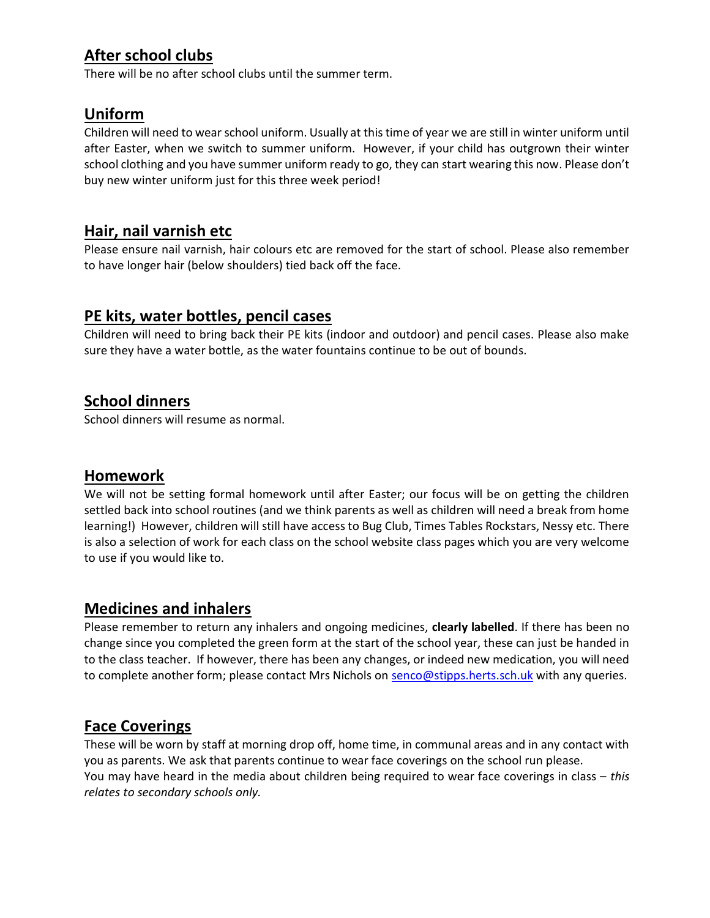# After school clubs

There will be no after school clubs until the summer term.

# Uniform

Children will need to wear school uniform. Usually at this time of year we are still in winter uniform until after Easter, when we switch to summer uniform. However, if your child has outgrown their winter school clothing and you have summer uniform ready to go, they can start wearing this now. Please don't buy new winter uniform just for this three week period!

### Hair, nail varnish etc

Please ensure nail varnish, hair colours etc are removed for the start of school. Please also remember to have longer hair (below shoulders) tied back off the face.

## PE kits, water bottles, pencil cases

Children will need to bring back their PE kits (indoor and outdoor) and pencil cases. Please also make sure they have a water bottle, as the water fountains continue to be out of bounds.

## School dinners

School dinners will resume as normal.

#### Homework

We will not be setting formal homework until after Easter; our focus will be on getting the children settled back into school routines (and we think parents as well as children will need a break from home learning!) However, children will still have access to Bug Club, Times Tables Rockstars, Nessy etc. There is also a selection of work for each class on the school website class pages which you are very welcome to use if you would like to.

#### Medicines and inhalers

Please remember to return any inhalers and ongoing medicines, clearly labelled. If there has been no change since you completed the green form at the start of the school year, these can just be handed in to the class teacher. If however, there has been any changes, or indeed new medication, you will need to complete another form; please contact Mrs Nichols on senco@stipps.herts.sch.uk with any queries.

# Face Coverings

These will be worn by staff at morning drop off, home time, in communal areas and in any contact with you as parents. We ask that parents continue to wear face coverings on the school run please. You may have heard in the media about children being required to wear face coverings in class – this relates to secondary schools only.